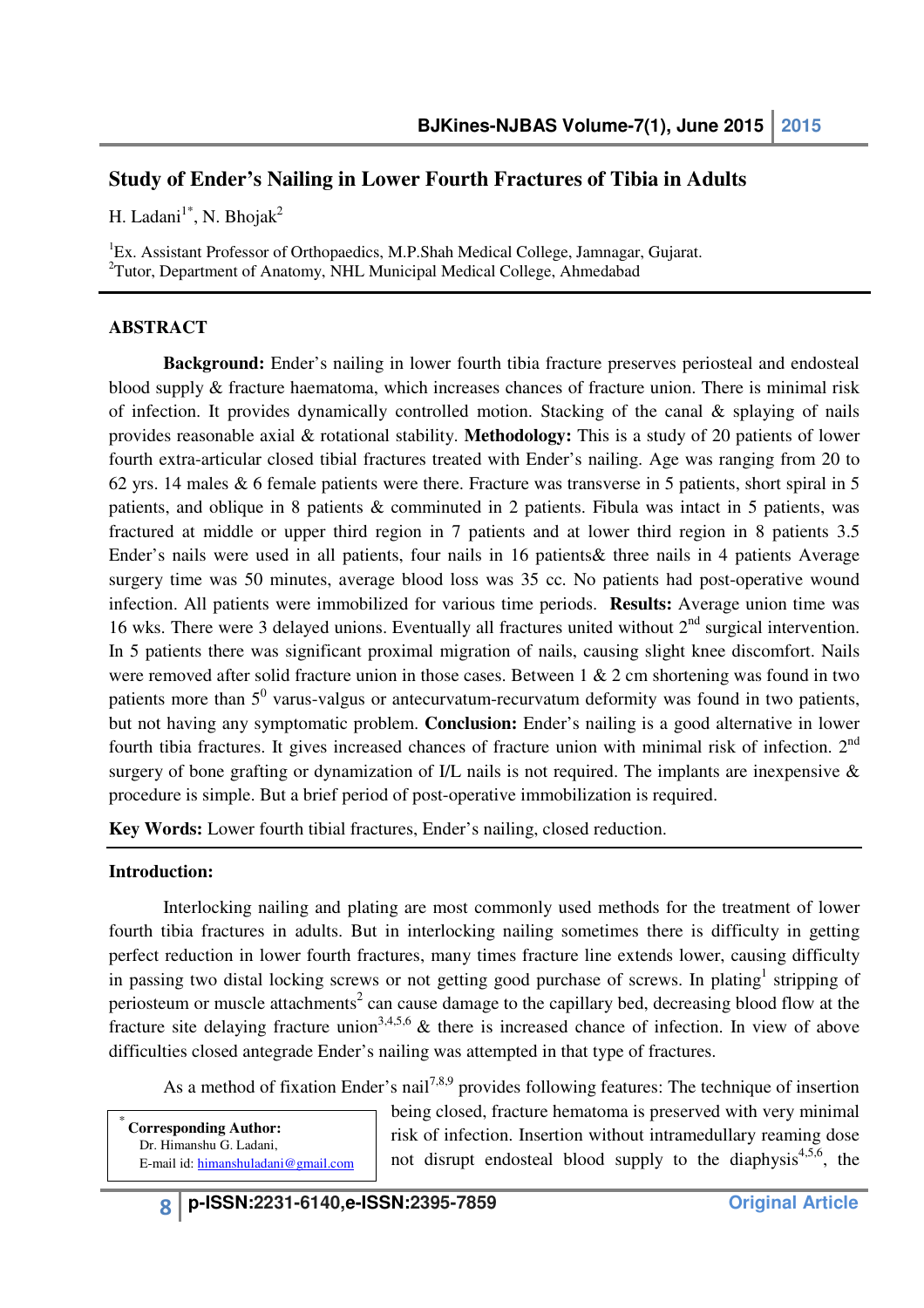# **Study of Ender's Nailing in Lower Fourth Fractures of Tibia in Adults**

H. Ladani<sup>1\*</sup>, N. Bhojak<sup>2</sup>

<sup>1</sup>Ex. Assistant Professor of Orthopaedics, M.P.Shah Medical College, Jamnagar, Gujarat. <sup>2</sup>Tutor, Department of Anatomy, NHL Municipal Medical College, Ahmedabad

## **ABSTRACT**

**Background:** Ender's nailing in lower fourth tibia fracture preserves periosteal and endosteal blood supply & fracture haematoma, which increases chances of fracture union. There is minimal risk of infection. It provides dynamically controlled motion. Stacking of the canal & splaying of nails provides reasonable axial & rotational stability. **Methodology:** This is a study of 20 patients of lower fourth extra-articular closed tibial fractures treated with Ender's nailing. Age was ranging from 20 to 62 yrs. 14 males & 6 female patients were there. Fracture was transverse in 5 patients, short spiral in 5 patients, and oblique in 8 patients & comminuted in 2 patients. Fibula was intact in 5 patients, was fractured at middle or upper third region in 7 patients and at lower third region in 8 patients 3.5 Ender's nails were used in all patients, four nails in 16 patients& three nails in 4 patients Average surgery time was 50 minutes, average blood loss was 35 cc. No patients had post-operative wound infection. All patients were immobilized for various time periods. **Results:** Average union time was 16 wks. There were 3 delayed unions. Eventually all fractures united without 2nd surgical intervention. In 5 patients there was significant proximal migration of nails, causing slight knee discomfort. Nails were removed after solid fracture union in those cases. Between 1 & 2 cm shortening was found in two patients more than  $5^0$  varus-valgus or antecurvatum-recurvatum deformity was found in two patients, but not having any symptomatic problem. **Conclusion:** Ender's nailing is a good alternative in lower fourth tibia fractures. It gives increased chances of fracture union with minimal risk of infection. 2<sup>nd</sup> surgery of bone grafting or dynamization of I/L nails is not required. The implants are inexpensive & procedure is simple. But a brief period of post-operative immobilization is required.

**Key Words:** Lower fourth tibial fractures, Ender's nailing, closed reduction.

#### **Introduction:**

Interlocking nailing and plating are most commonly used methods for the treatment of lower fourth tibia fractures in adults. But in interlocking nailing sometimes there is difficulty in getting perfect reduction in lower fourth fractures, many times fracture line extends lower, causing difficulty in passing two distal locking screws or not getting good purchase of screws. In plating<sup>1</sup> stripping of periosteum or muscle attachments<sup>2</sup> can cause damage to the capillary bed, decreasing blood flow at the fracture site delaying fracture union<sup>3,4,5,6</sup>  $\&$  there is increased chance of infection. In view of above difficulties closed antegrade Ender's nailing was attempted in that type of fractures.

As a method of fixation Ender's nail<sup>7,8,9</sup> provides following features: The technique of insertion

**Corresponding Author:** Dr. Himanshu G. Ladani, E-mail id: himanshuladani@gmail.com being closed, fracture hematoma is preserved with very minimal risk of infection. Insertion without intramedullary reaming dose not disrupt endosteal blood supply to the diaphysis<sup>4,5,6</sup>, the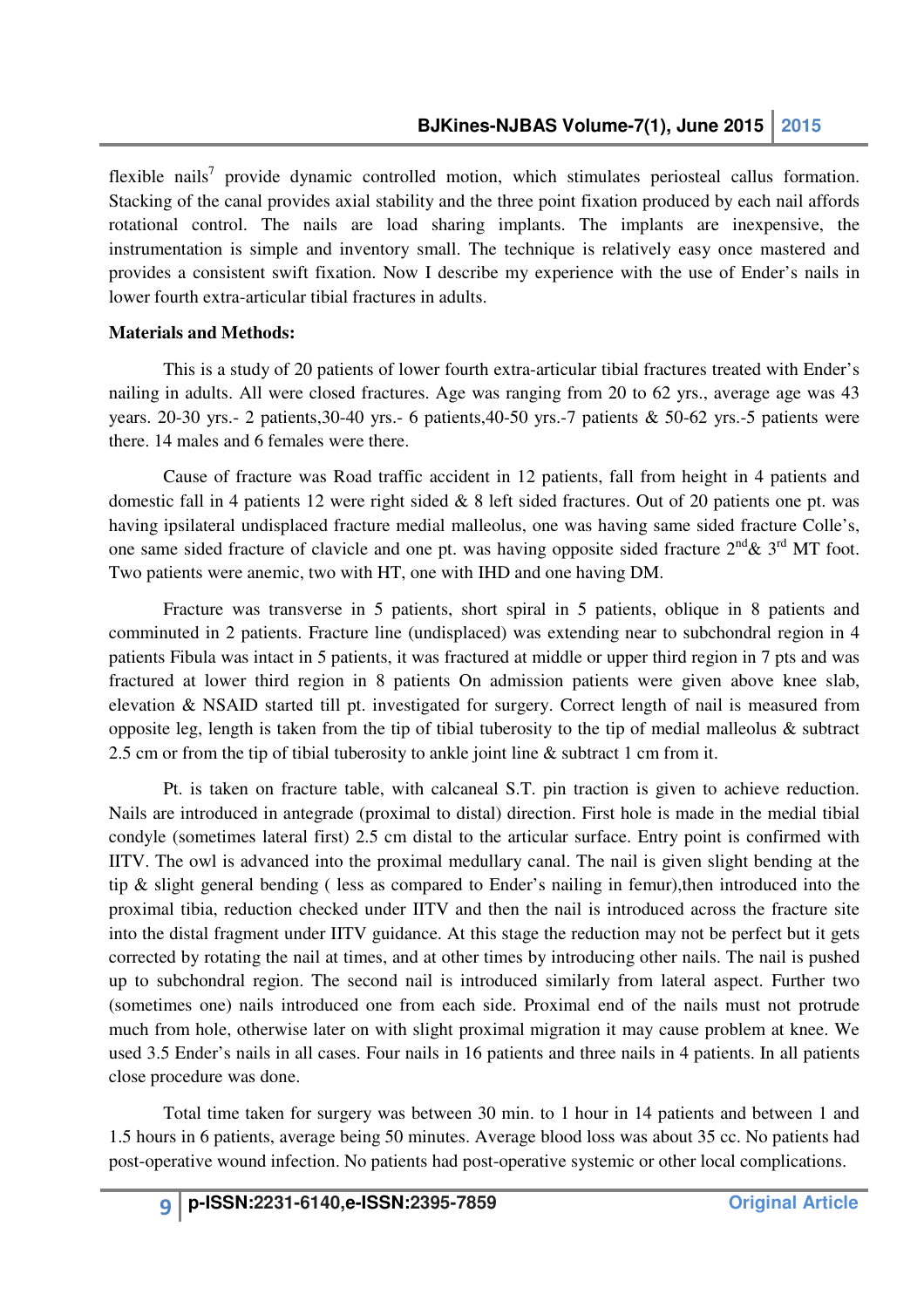flexible nails<sup>7</sup> provide dynamic controlled motion, which stimulates periosteal callus formation. Stacking of the canal provides axial stability and the three point fixation produced by each nail affords rotational control. The nails are load sharing implants. The implants are inexpensive, the instrumentation is simple and inventory small. The technique is relatively easy once mastered and provides a consistent swift fixation. Now I describe my experience with the use of Ender's nails in lower fourth extra-articular tibial fractures in adults.

### **Materials and Methods:**

This is a study of 20 patients of lower fourth extra-articular tibial fractures treated with Ender's nailing in adults. All were closed fractures. Age was ranging from 20 to 62 yrs., average age was 43 years. 20-30 yrs.- 2 patients,30-40 yrs.- 6 patients,40-50 yrs.-7 patients & 50-62 yrs.-5 patients were there. 14 males and 6 females were there.

Cause of fracture was Road traffic accident in 12 patients, fall from height in 4 patients and domestic fall in 4 patients 12 were right sided  $\&$  8 left sided fractures. Out of 20 patients one pt. was having ipsilateral undisplaced fracture medial malleolus, one was having same sided fracture Colle's, one same sided fracture of clavicle and one pt. was having opposite sided fracture  $2^{nd}$ &  $3^{rd}$  MT foot. Two patients were anemic, two with HT, one with IHD and one having DM.

Fracture was transverse in 5 patients, short spiral in 5 patients, oblique in 8 patients and comminuted in 2 patients. Fracture line (undisplaced) was extending near to subchondral region in 4 patients Fibula was intact in 5 patients, it was fractured at middle or upper third region in 7 pts and was fractured at lower third region in 8 patients On admission patients were given above knee slab, elevation & NSAID started till pt. investigated for surgery. Correct length of nail is measured from opposite leg, length is taken from the tip of tibial tuberosity to the tip of medial malleolus & subtract 2.5 cm or from the tip of tibial tuberosity to ankle joint line & subtract 1 cm from it.

Pt. is taken on fracture table, with calcaneal S.T. pin traction is given to achieve reduction. Nails are introduced in antegrade (proximal to distal) direction. First hole is made in the medial tibial condyle (sometimes lateral first) 2.5 cm distal to the articular surface. Entry point is confirmed with IITV. The owl is advanced into the proximal medullary canal. The nail is given slight bending at the tip & slight general bending ( less as compared to Ender's nailing in femur),then introduced into the proximal tibia, reduction checked under IITV and then the nail is introduced across the fracture site into the distal fragment under IITV guidance. At this stage the reduction may not be perfect but it gets corrected by rotating the nail at times, and at other times by introducing other nails. The nail is pushed up to subchondral region. The second nail is introduced similarly from lateral aspect. Further two (sometimes one) nails introduced one from each side. Proximal end of the nails must not protrude much from hole, otherwise later on with slight proximal migration it may cause problem at knee. We used 3.5 Ender's nails in all cases. Four nails in 16 patients and three nails in 4 patients. In all patients close procedure was done.

Total time taken for surgery was between 30 min. to 1 hour in 14 patients and between 1 and 1.5 hours in 6 patients, average being 50 minutes. Average blood loss was about 35 cc. No patients had post-operative wound infection. No patients had post-operative systemic or other local complications.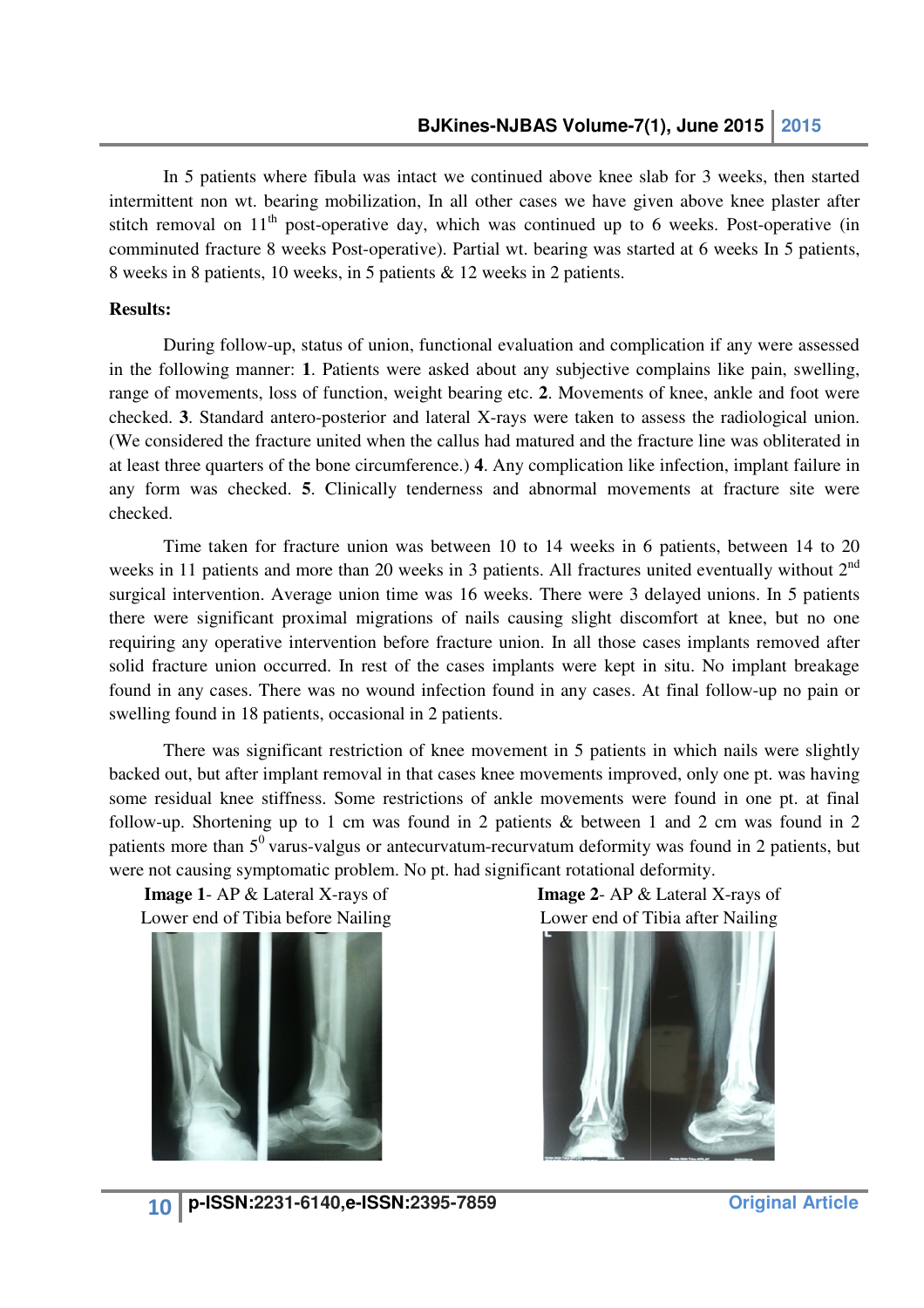In 5 patients where fibula was intact we continued above knee slab for 3 weeks, then started intermittent non wt. bearing mobilization, In all other cases we have given above knee plaster after stitch removal on  $11<sup>th</sup>$  post-operative day, which was continued up to 6 weeks. Post-operative (in comminuted fracture 8 weeks Post-operative). Partial wt. bearing was started at 6 weeks In 5 patients, 8 weeks in 8 patients, 10 weeks, in 5 patients & 12 weeks in 2 patients.

#### **Results:**

During follow-up, status of union, functional evaluation and complication if any were assessed in the following manner: **1**. Patients were asked about any subjective complains like pain, swelling, range of movements, loss of function, weight bearing etc. **2**. Movements of knee, ankle and foot were checked. 3. Standard antero-posterior and lateral X-rays were taken to assess the (We considered the fracture united when the callus had matured and the fracture line was obliterated in at least three quarters of the bone circumference.) **4**. Any complication like infection, implant failure in at least three quarters of the bone circumference.) **4**. Any complication like infection, implant failure in any form was checked. **5**. Clinically tenderness and abnormal movements at fracture site were checked. m was checked. 5. Clinically tenderness and abnormal movements at fracture site were<br>1.<br>Time taken for fracture union was between 10 to 14 weeks in 6 patients, between 14 to 20 status of union, functional evaluation and complication if any were assessed 1. Patients were asked about any subjective complains like pain, swelling, of function, weight bearing etc. 2. Movements of knee, ankle and foot

weeks in 11 patients and more than 20 weeks in 3 patients. All fractures united eventually without  $2^{nd}$ surgical intervention. Average union time was 16 weeks. There were 3 delayed unions. In 5 patients there were significant proximal migrations of nails causing slight discomfort at knee, but no one there were significant proximal migrations of nails causing slight discomfort at knee, but no one requiring any operative intervention before fracture union. In all those cases implants removed after solid fracture union occurred. In rest of the cases implants were kept in situ. No implant breakage solid fracture union occurred. In rest of the cases implants were kept in situ. No implant breakage<br>found in any cases. There was no wound infection found in any cases. At final follow-up no pain or swelling found in 18 patients, occasional in 2 patients.

There was significant restriction of knee movement in 5 patients in which nails were slightly backed out, but after implant removal in that cases knee movements improved, only one pt. was having some residual knee stiffness. Some restrictions of ankle movements were found in one pt. at final follow-up. Shortening up to 1 cm was found in 2 patients  $\&$  between 1 and 2 cm was found in 2 patients more than  $5^0$  varus-valgus or antecurvatum-recurvatum deformity was found in 2 patients, but were not causing symptomatic problem. No pt. had significant rotational deformity.

**Image 1** - AP & Lateral X-rays of Lower end of Tibia before Nailing



efore **Image 2**- AP & Lower end of Tibia after Nailing **Image 2-AP & Lateral X-rays of** 



 **Original Article**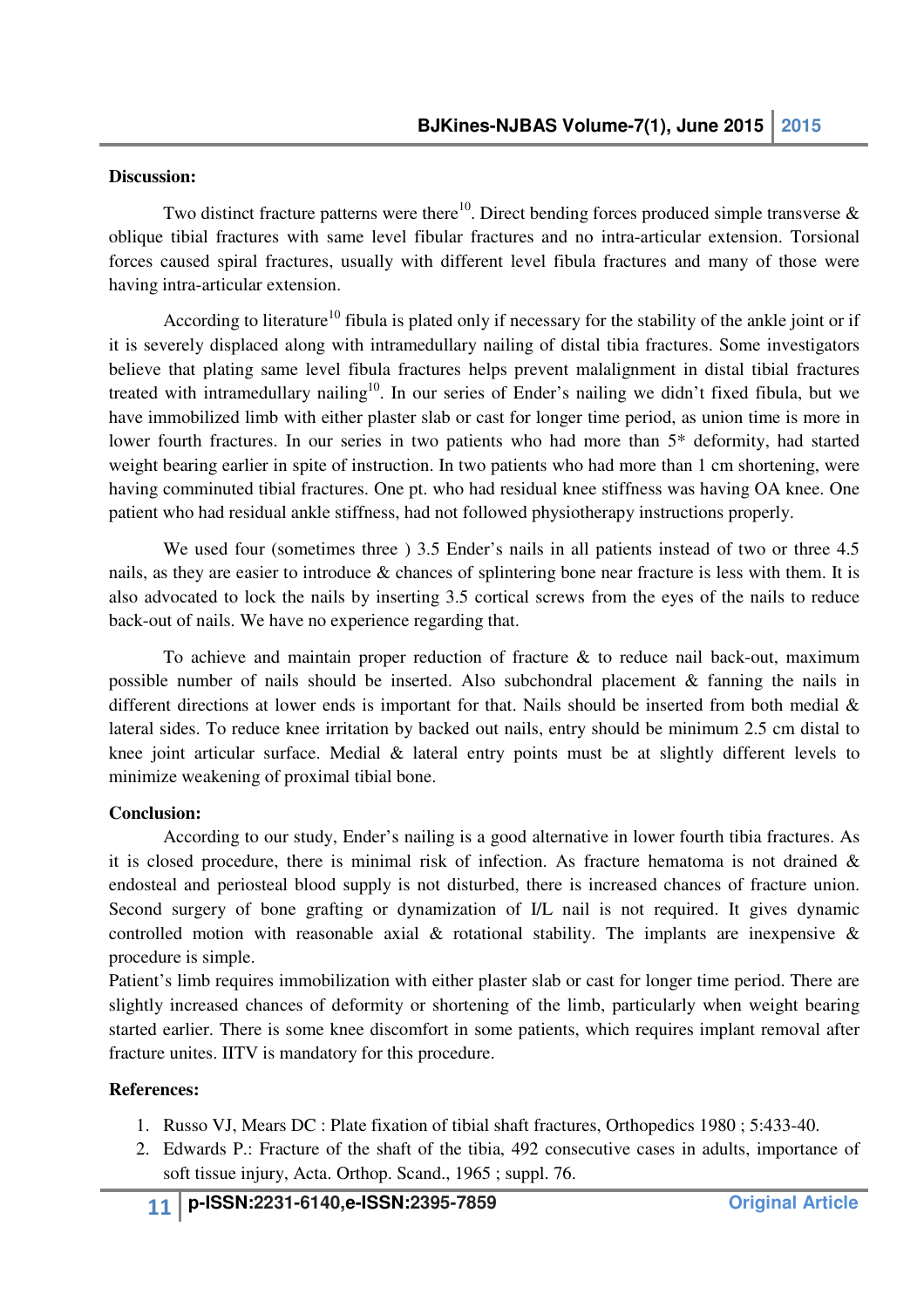#### **Discussion:**

Two distinct fracture patterns were there<sup>10</sup>. Direct bending forces produced simple transverse  $\&$ oblique tibial fractures with same level fibular fractures and no intra-articular extension. Torsional forces caused spiral fractures, usually with different level fibula fractures and many of those were having intra-articular extension.

According to literature<sup>10</sup> fibula is plated only if necessary for the stability of the ankle joint or if it is severely displaced along with intramedullary nailing of distal tibia fractures. Some investigators believe that plating same level fibula fractures helps prevent malalignment in distal tibial fractures treated with intramedullary nailing<sup>10</sup>. In our series of Ender's nailing we didn't fixed fibula, but we have immobilized limb with either plaster slab or cast for longer time period, as union time is more in lower fourth fractures. In our series in two patients who had more than 5\* deformity, had started weight bearing earlier in spite of instruction. In two patients who had more than 1 cm shortening, were having comminuted tibial fractures. One pt. who had residual knee stiffness was having OA knee. One patient who had residual ankle stiffness, had not followed physiotherapy instructions properly.

We used four (sometimes three ) 3.5 Ender's nails in all patients instead of two or three 4.5 nails, as they are easier to introduce & chances of splintering bone near fracture is less with them. It is also advocated to lock the nails by inserting 3.5 cortical screws from the eyes of the nails to reduce back-out of nails. We have no experience regarding that.

To achieve and maintain proper reduction of fracture & to reduce nail back-out, maximum possible number of nails should be inserted. Also subchondral placement & fanning the nails in different directions at lower ends is important for that. Nails should be inserted from both medial & lateral sides. To reduce knee irritation by backed out nails, entry should be minimum 2.5 cm distal to knee joint articular surface. Medial & lateral entry points must be at slightly different levels to minimize weakening of proximal tibial bone.

#### **Conclusion:**

According to our study, Ender's nailing is a good alternative in lower fourth tibia fractures. As it is closed procedure, there is minimal risk of infection. As fracture hematoma is not drained  $\&$ endosteal and periosteal blood supply is not disturbed, there is increased chances of fracture union. Second surgery of bone grafting or dynamization of I/L nail is not required. It gives dynamic controlled motion with reasonable axial  $\&$  rotational stability. The implants are inexpensive  $\&$ procedure is simple.

Patient's limb requires immobilization with either plaster slab or cast for longer time period. There are slightly increased chances of deformity or shortening of the limb, particularly when weight bearing started earlier. There is some knee discomfort in some patients, which requires implant removal after fracture unites. IITV is mandatory for this procedure.

#### **References:**

- 1. Russo VJ, Mears DC : Plate fixation of tibial shaft fractures, Orthopedics 1980 ; 5:433-40.
- 2. Edwards P.: Fracture of the shaft of the tibia, 492 consecutive cases in adults, importance of soft tissue injury, Acta. Orthop. Scand., 1965 ; suppl. 76.